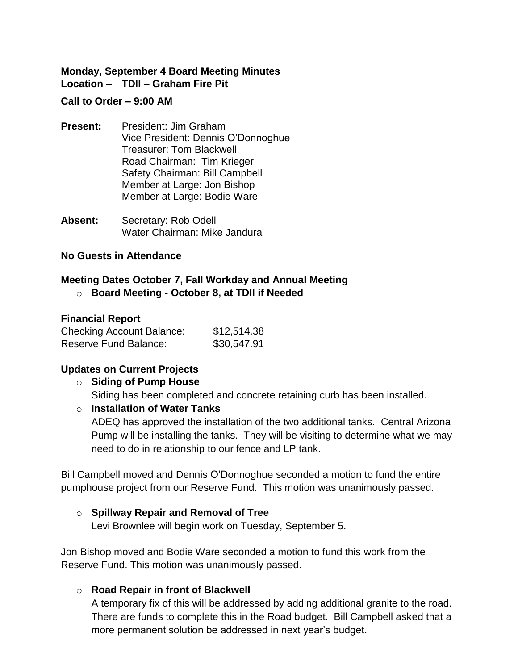### **Monday, September 4 Board Meeting Minutes Location – TDII – Graham Fire Pit**

#### **Call to Order – 9:00 AM**

- **Present:** President: Jim Graham Vice President: Dennis O'Donnoghue Treasurer: Tom Blackwell Road Chairman: Tim Krieger Safety Chairman: Bill Campbell Member at Large: Jon Bishop Member at Large: Bodie Ware
- **Absent:** Secretary: Rob Odell Water Chairman: Mike Jandura

#### **No Guests in Attendance**

# **Meeting Dates October 7, Fall Workday and Annual Meeting**

o **Board Meeting - October 8, at TDII if Needed**

#### **Financial Report**

| <b>Checking Account Balance:</b> | \$12,514.38 |
|----------------------------------|-------------|
| <b>Reserve Fund Balance:</b>     | \$30,547.91 |

#### **Updates on Current Projects**

#### o **Siding of Pump House**

Siding has been completed and concrete retaining curb has been installed.

#### o **Installation of Water Tanks**

ADEQ has approved the installation of the two additional tanks. Central Arizona Pump will be installing the tanks. They will be visiting to determine what we may need to do in relationship to our fence and LP tank.

Bill Campbell moved and Dennis O'Donnoghue seconded a motion to fund the entire pumphouse project from our Reserve Fund. This motion was unanimously passed.

#### o **Spillway Repair and Removal of Tree**

Levi Brownlee will begin work on Tuesday, September 5.

Jon Bishop moved and Bodie Ware seconded a motion to fund this work from the Reserve Fund. This motion was unanimously passed.

# o **Road Repair in front of Blackwell**

A temporary fix of this will be addressed by adding additional granite to the road. There are funds to complete this in the Road budget. Bill Campbell asked that a more permanent solution be addressed in next year's budget.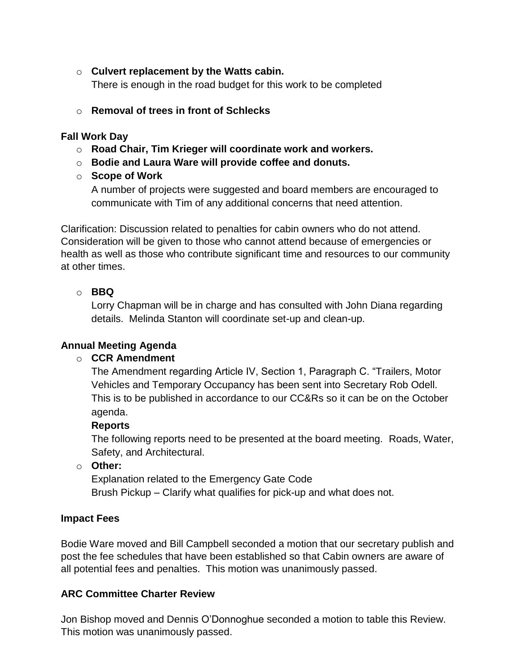- o **Culvert replacement by the Watts cabin.** There is enough in the road budget for this work to be completed
- o **Removal of trees in front of Schlecks**

### **Fall Work Day**

- o **Road Chair, Tim Krieger will coordinate work and workers.**
- o **Bodie and Laura Ware will provide coffee and donuts.**
- o **Scope of Work**

A number of projects were suggested and board members are encouraged to communicate with Tim of any additional concerns that need attention.

Clarification: Discussion related to penalties for cabin owners who do not attend. Consideration will be given to those who cannot attend because of emergencies or health as well as those who contribute significant time and resources to our community at other times.

### o **BBQ**

Lorry Chapman will be in charge and has consulted with John Diana regarding details. Melinda Stanton will coordinate set-up and clean-up.

# **Annual Meeting Agenda**

# o **CCR Amendment**

The Amendment regarding Article IV, Section 1, Paragraph C. "Trailers, Motor Vehicles and Temporary Occupancy has been sent into Secretary Rob Odell. This is to be published in accordance to our CC&Rs so it can be on the October agenda.

#### **Reports**

The following reports need to be presented at the board meeting. Roads, Water, Safety, and Architectural.

o **Other:**

Explanation related to the Emergency Gate Code Brush Pickup – Clarify what qualifies for pick-up and what does not.

# **Impact Fees**

Bodie Ware moved and Bill Campbell seconded a motion that our secretary publish and post the fee schedules that have been established so that Cabin owners are aware of all potential fees and penalties. This motion was unanimously passed.

# **ARC Committee Charter Review**

Jon Bishop moved and Dennis O'Donnoghue seconded a motion to table this Review. This motion was unanimously passed.